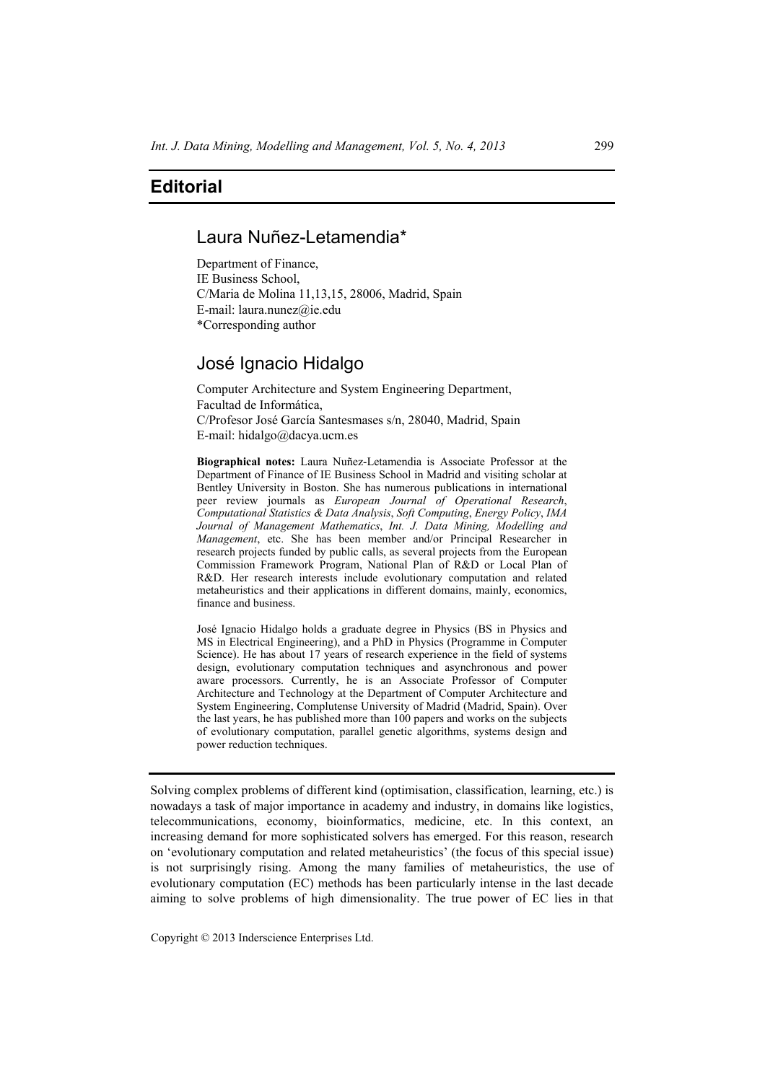## **Editorial**

## Laura Nuñez-Letamendia\*

Department of Finance, IE Business School, C/Maria de Molina 11,13,15, 28006, Madrid, Spain E-mail: laura.nunez@ie.edu \*Corresponding author

## José Ignacio Hidalgo

Computer Architecture and System Engineering Department, Facultad de Informática, C/Profesor José García Santesmases s/n, 28040, Madrid, Spain E-mail: hidalgo@dacya.ucm.es

**Biographical notes:** Laura Nuñez-Letamendia is Associate Professor at the Department of Finance of IE Business School in Madrid and visiting scholar at Bentley University in Boston. She has numerous publications in international peer review journals as *European Journal of Operational Research*, *Computational Statistics & Data Analysis*, *Soft Computing*, *Energy Policy*, *IMA Journal of Management Mathematics*, *Int. J. Data Mining, Modelling and Management*, etc. She has been member and/or Principal Researcher in research projects funded by public calls, as several projects from the European Commission Framework Program, National Plan of R&D or Local Plan of R&D. Her research interests include evolutionary computation and related metaheuristics and their applications in different domains, mainly, economics, finance and business.

José Ignacio Hidalgo holds a graduate degree in Physics (BS in Physics and MS in Electrical Engineering), and a PhD in Physics (Programme in Computer Science). He has about 17 years of research experience in the field of systems design, evolutionary computation techniques and asynchronous and power aware processors. Currently, he is an Associate Professor of Computer Architecture and Technology at the Department of Computer Architecture and System Engineering, Complutense University of Madrid (Madrid, Spain). Over the last years, he has published more than 100 papers and works on the subjects of evolutionary computation, parallel genetic algorithms, systems design and power reduction techniques.

Solving complex problems of different kind (optimisation, classification, learning, etc.) is nowadays a task of major importance in academy and industry, in domains like logistics, telecommunications, economy, bioinformatics, medicine, etc. In this context, an increasing demand for more sophisticated solvers has emerged. For this reason, research on 'evolutionary computation and related metaheuristics' (the focus of this special issue) is not surprisingly rising. Among the many families of metaheuristics, the use of evolutionary computation (EC) methods has been particularly intense in the last decade aiming to solve problems of high dimensionality. The true power of EC lies in that

Copyright © 2013 Inderscience Enterprises Ltd.